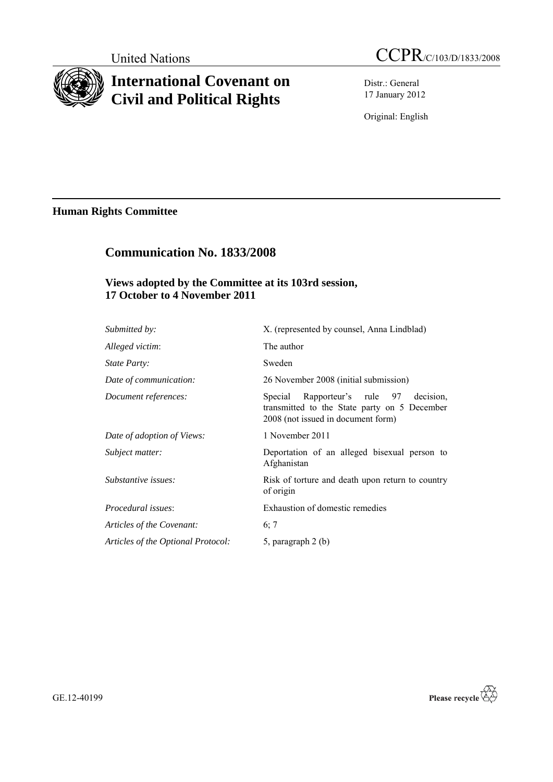

# **International Covenant on Civil and Political Rights**

Distr.: General 17 January 2012

Original: English

## **Human Rights Committee**

## **Communication No. 1833/2008**

## **Views adopted by the Committee at its 103rd session, 17 October to 4 November 2011**

| Submitted by:                      | X. (represented by counsel, Anna Lindblad)                                                                                         |
|------------------------------------|------------------------------------------------------------------------------------------------------------------------------------|
| Alleged victim:                    | The author                                                                                                                         |
| <i>State Party:</i>                | Sweden                                                                                                                             |
| Date of communication:             | 26 November 2008 (initial submission)                                                                                              |
| Document references:               | Rapporteur's rule 97<br>Special<br>decision.<br>transmitted to the State party on 5 December<br>2008 (not issued in document form) |
| Date of adoption of Views:         | 1 November 2011                                                                                                                    |
| Subject matter:                    | Deportation of an alleged bisexual person to<br>Afghanistan                                                                        |
| Substantive issues:                | Risk of torture and death upon return to country<br>of origin                                                                      |
| Procedural issues:                 | Exhaustion of domestic remedies                                                                                                    |
| Articles of the Covenant:          | 6:7                                                                                                                                |
| Articles of the Optional Protocol: | 5, paragraph 2 (b)                                                                                                                 |

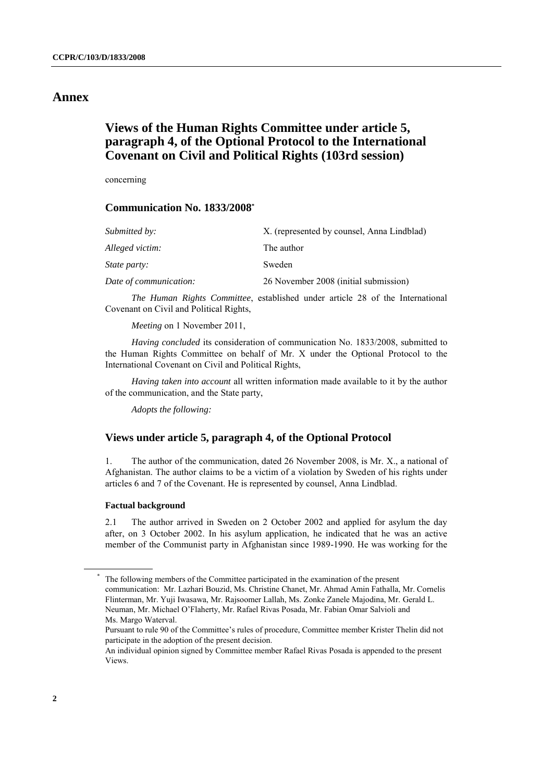### **Annex**

## **Views of the Human Rights Committee under article 5, paragraph 4, of the Optional Protocol to the International Covenant on Civil and Political Rights (103rd session)**

concerning

### **Communication No. 1833/2008\***

| Submitted by:          | X. (represented by counsel, Anna Lindblad) |
|------------------------|--------------------------------------------|
| Alleged victim:        | The author                                 |
| <i>State party:</i>    | Sweden                                     |
| Date of communication: | 26 November 2008 (initial submission)      |

*The Human Rights Committee*, established under article 28 of the International Covenant on Civil and Political Rights,

*Meeting* on 1 November 2011,

*Having concluded* its consideration of communication No. 1833/2008, submitted to the Human Rights Committee on behalf of Mr. X under the Optional Protocol to the International Covenant on Civil and Political Rights,

*Having taken into account* all written information made available to it by the author of the communication, and the State party,

*Adopts the following:*

#### **Views under article 5, paragraph 4, of the Optional Protocol**

1. The author of the communication, dated 26 November 2008, is Mr. X., a national of Afghanistan. The author claims to be a victim of a violation by Sweden of his rights under articles 6 and 7 of the Covenant. He is represented by counsel, Anna Lindblad.

#### **Factual background**

2.1 The author arrived in Sweden on 2 October 2002 and applied for asylum the day after, on 3 October 2002. In his asylum application, he indicated that he was an active member of the Communist party in Afghanistan since 1989-1990. He was working for the

The following members of the Committee participated in the examination of the present communication: Mr. Lazhari Bouzid, Ms. Christine Chanet, Mr. Ahmad Amin Fathalla, Mr. Cornelis Flinterman, Mr. Yuji Iwasawa, Mr. Rajsoomer Lallah, Ms. Zonke Zanele Majodina, Mr. Gerald L. Neuman, Mr. Michael O"Flaherty, Mr. Rafael Rivas Posada, Mr. Fabian Omar Salvioli and Ms. Margo Waterval.

Pursuant to rule 90 of the Committee"s rules of procedure, Committee member Krister Thelin did not participate in the adoption of the present decision.

An individual opinion signed by Committee member Rafael Rivas Posada is appended to the present Views.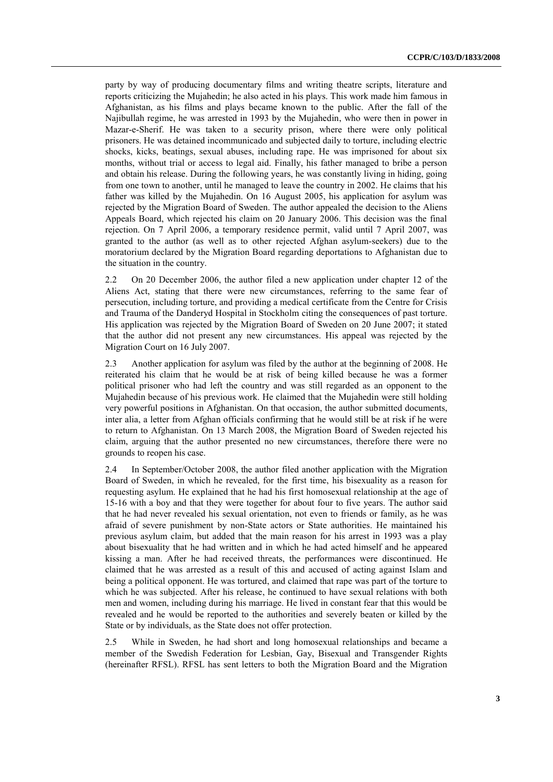party by way of producing documentary films and writing theatre scripts, literature and reports criticizing the Mujahedin; he also acted in his plays. This work made him famous in Afghanistan, as his films and plays became known to the public. After the fall of the Najibullah regime, he was arrested in 1993 by the Mujahedin, who were then in power in Mazar-e-Sherif. He was taken to a security prison, where there were only political prisoners. He was detained incommunicado and subjected daily to torture, including electric shocks, kicks, beatings, sexual abuses, including rape. He was imprisoned for about six months, without trial or access to legal aid. Finally, his father managed to bribe a person and obtain his release. During the following years, he was constantly living in hiding, going from one town to another, until he managed to leave the country in 2002. He claims that his father was killed by the Mujahedin. On 16 August 2005, his application for asylum was rejected by the Migration Board of Sweden. The author appealed the decision to the Aliens Appeals Board, which rejected his claim on 20 January 2006. This decision was the final rejection. On 7 April 2006, a temporary residence permit, valid until 7 April 2007, was granted to the author (as well as to other rejected Afghan asylum-seekers) due to the moratorium declared by the Migration Board regarding deportations to Afghanistan due to the situation in the country.

2.2 On 20 December 2006, the author filed a new application under chapter 12 of the Aliens Act, stating that there were new circumstances, referring to the same fear of persecution, including torture, and providing a medical certificate from the Centre for Crisis and Trauma of the Danderyd Hospital in Stockholm citing the consequences of past torture. His application was rejected by the Migration Board of Sweden on 20 June 2007; it stated that the author did not present any new circumstances. His appeal was rejected by the Migration Court on 16 July 2007.

2.3 Another application for asylum was filed by the author at the beginning of 2008. He reiterated his claim that he would be at risk of being killed because he was a former political prisoner who had left the country and was still regarded as an opponent to the Mujahedin because of his previous work. He claimed that the Mujahedin were still holding very powerful positions in Afghanistan. On that occasion, the author submitted documents, inter alia, a letter from Afghan officials confirming that he would still be at risk if he were to return to Afghanistan. On 13 March 2008, the Migration Board of Sweden rejected his claim, arguing that the author presented no new circumstances, therefore there were no grounds to reopen his case.

2.4 In September/October 2008, the author filed another application with the Migration Board of Sweden, in which he revealed, for the first time, his bisexuality as a reason for requesting asylum. He explained that he had his first homosexual relationship at the age of 15-16 with a boy and that they were together for about four to five years. The author said that he had never revealed his sexual orientation, not even to friends or family, as he was afraid of severe punishment by non-State actors or State authorities. He maintained his previous asylum claim, but added that the main reason for his arrest in 1993 was a play about bisexuality that he had written and in which he had acted himself and he appeared kissing a man. After he had received threats, the performances were discontinued. He claimed that he was arrested as a result of this and accused of acting against Islam and being a political opponent. He was tortured, and claimed that rape was part of the torture to which he was subjected. After his release, he continued to have sexual relations with both men and women, including during his marriage. He lived in constant fear that this would be revealed and he would be reported to the authorities and severely beaten or killed by the State or by individuals, as the State does not offer protection.

2.5 While in Sweden, he had short and long homosexual relationships and became a member of the Swedish Federation for Lesbian, Gay, Bisexual and Transgender Rights (hereinafter RFSL). RFSL has sent letters to both the Migration Board and the Migration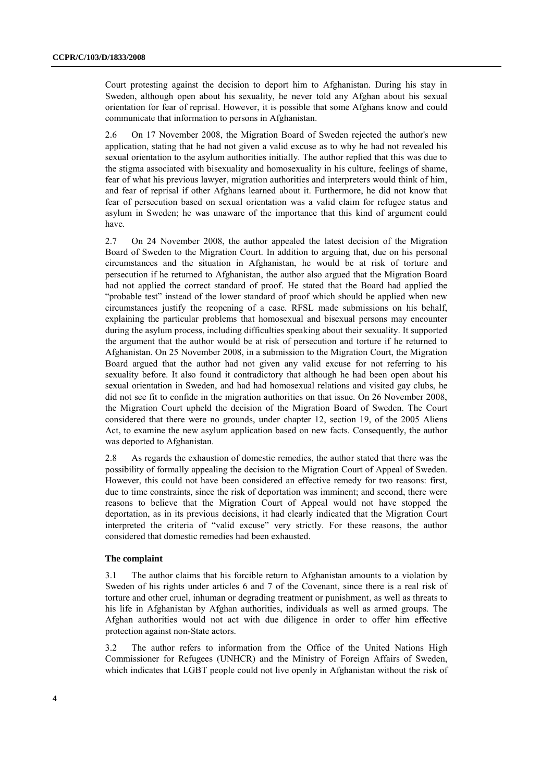Court protesting against the decision to deport him to Afghanistan. During his stay in Sweden, although open about his sexuality, he never told any Afghan about his sexual orientation for fear of reprisal. However, it is possible that some Afghans know and could communicate that information to persons in Afghanistan.

2.6 On 17 November 2008, the Migration Board of Sweden rejected the author's new application, stating that he had not given a valid excuse as to why he had not revealed his sexual orientation to the asylum authorities initially. The author replied that this was due to the stigma associated with bisexuality and homosexuality in his culture, feelings of shame, fear of what his previous lawyer, migration authorities and interpreters would think of him, and fear of reprisal if other Afghans learned about it. Furthermore, he did not know that fear of persecution based on sexual orientation was a valid claim for refugee status and asylum in Sweden; he was unaware of the importance that this kind of argument could have.

2.7 On 24 November 2008, the author appealed the latest decision of the Migration Board of Sweden to the Migration Court. In addition to arguing that, due on his personal circumstances and the situation in Afghanistan, he would be at risk of torture and persecution if he returned to Afghanistan, the author also argued that the Migration Board had not applied the correct standard of proof. He stated that the Board had applied the "probable test" instead of the lower standard of proof which should be applied when new circumstances justify the reopening of a case. RFSL made submissions on his behalf, explaining the particular problems that homosexual and bisexual persons may encounter during the asylum process, including difficulties speaking about their sexuality. It supported the argument that the author would be at risk of persecution and torture if he returned to Afghanistan. On 25 November 2008, in a submission to the Migration Court, the Migration Board argued that the author had not given any valid excuse for not referring to his sexuality before. It also found it contradictory that although he had been open about his sexual orientation in Sweden, and had had homosexual relations and visited gay clubs, he did not see fit to confide in the migration authorities on that issue. On 26 November 2008, the Migration Court upheld the decision of the Migration Board of Sweden. The Court considered that there were no grounds, under chapter 12, section 19, of the 2005 Aliens Act, to examine the new asylum application based on new facts. Consequently, the author was deported to Afghanistan.

2.8 As regards the exhaustion of domestic remedies, the author stated that there was the possibility of formally appealing the decision to the Migration Court of Appeal of Sweden. However, this could not have been considered an effective remedy for two reasons: first, due to time constraints, since the risk of deportation was imminent; and second, there were reasons to believe that the Migration Court of Appeal would not have stopped the deportation, as in its previous decisions, it had clearly indicated that the Migration Court interpreted the criteria of "valid excuse" very strictly. For these reasons, the author considered that domestic remedies had been exhausted.

#### **The complaint**

3.1 The author claims that his forcible return to Afghanistan amounts to a violation by Sweden of his rights under articles 6 and 7 of the Covenant, since there is a real risk of torture and other cruel, inhuman or degrading treatment or punishment, as well as threats to his life in Afghanistan by Afghan authorities, individuals as well as armed groups. The Afghan authorities would not act with due diligence in order to offer him effective protection against non-State actors.

3.2 The author refers to information from the Office of the United Nations High Commissioner for Refugees (UNHCR) and the Ministry of Foreign Affairs of Sweden, which indicates that LGBT people could not live openly in Afghanistan without the risk of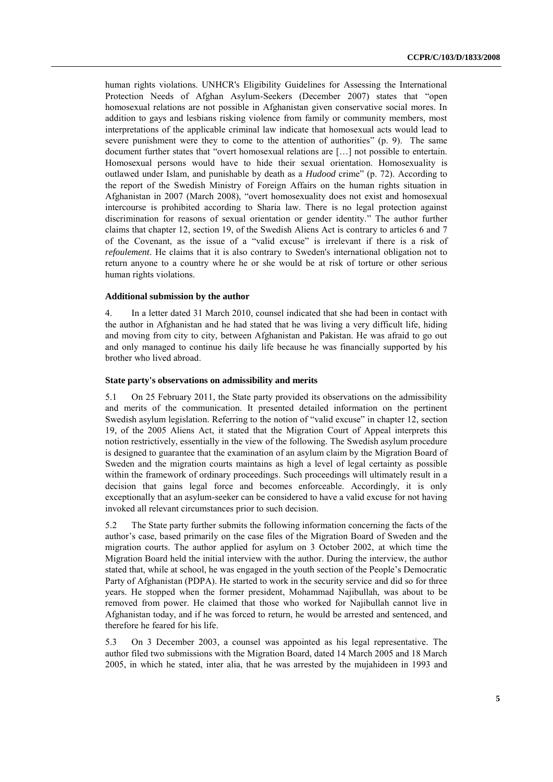human rights violations. UNHCR's Eligibility Guidelines for Assessing the International Protection Needs of Afghan Asylum-Seekers (December 2007) states that "open homosexual relations are not possible in Afghanistan given conservative social mores. In addition to gays and lesbians risking violence from family or community members, most interpretations of the applicable criminal law indicate that homosexual acts would lead to severe punishment were they to come to the attention of authorities" (p. 9). The same document further states that "overt homosexual relations are […] not possible to entertain. Homosexual persons would have to hide their sexual orientation. Homosexuality is outlawed under Islam, and punishable by death as a *Hudood* crime" (p. 72). According to the report of the Swedish Ministry of Foreign Affairs on the human rights situation in Afghanistan in 2007 (March 2008), "overt homosexuality does not exist and homosexual intercourse is prohibited according to Sharia law. There is no legal protection against discrimination for reasons of sexual orientation or gender identity." The author further claims that chapter 12, section 19, of the Swedish Aliens Act is contrary to articles 6 and 7 of the Covenant, as the issue of a "valid excuse" is irrelevant if there is a risk of *refoulement*. He claims that it is also contrary to Sweden's international obligation not to return anyone to a country where he or she would be at risk of torture or other serious human rights violations.

#### **Additional submission by the author**

4. In a letter dated 31 March 2010, counsel indicated that she had been in contact with the author in Afghanistan and he had stated that he was living a very difficult life, hiding and moving from city to city, between Afghanistan and Pakistan. He was afraid to go out and only managed to continue his daily life because he was financially supported by his brother who lived abroad.

#### **State party's observations on admissibility and merits**

5.1 On 25 February 2011, the State party provided its observations on the admissibility and merits of the communication. It presented detailed information on the pertinent Swedish asylum legislation. Referring to the notion of "valid excuse" in chapter 12, section 19, of the 2005 Aliens Act, it stated that the Migration Court of Appeal interprets this notion restrictively, essentially in the view of the following. The Swedish asylum procedure is designed to guarantee that the examination of an asylum claim by the Migration Board of Sweden and the migration courts maintains as high a level of legal certainty as possible within the framework of ordinary proceedings. Such proceedings will ultimately result in a decision that gains legal force and becomes enforceable. Accordingly, it is only exceptionally that an asylum-seeker can be considered to have a valid excuse for not having invoked all relevant circumstances prior to such decision.

5.2 The State party further submits the following information concerning the facts of the author"s case, based primarily on the case files of the Migration Board of Sweden and the migration courts. The author applied for asylum on 3 October 2002, at which time the Migration Board held the initial interview with the author. During the interview, the author stated that, while at school, he was engaged in the youth section of the People"s Democratic Party of Afghanistan (PDPA). He started to work in the security service and did so for three years. He stopped when the former president, Mohammad Najibullah, was about to be removed from power. He claimed that those who worked for Najibullah cannot live in Afghanistan today, and if he was forced to return, he would be arrested and sentenced, and therefore he feared for his life.

5.3 On 3 December 2003, a counsel was appointed as his legal representative. The author filed two submissions with the Migration Board, dated 14 March 2005 and 18 March 2005, in which he stated, inter alia, that he was arrested by the mujahideen in 1993 and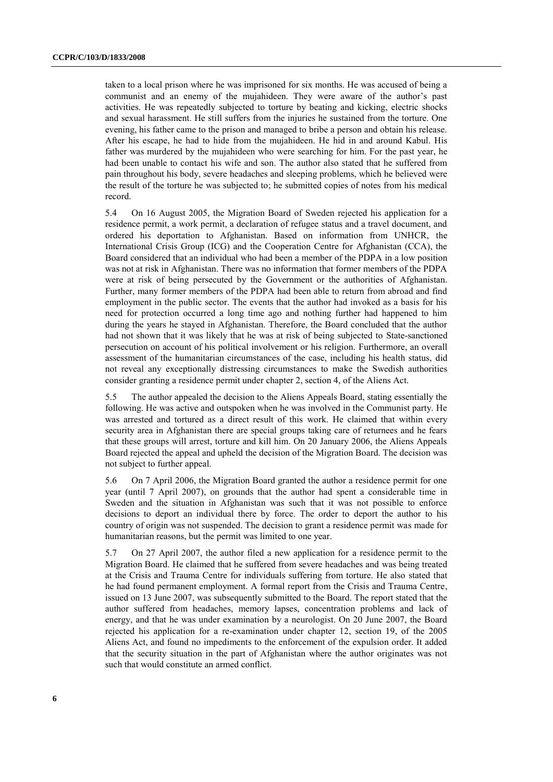taken to a local prison where he was imprisoned for six months. He was accused of being a communist and an enemy of the mujahideen. They were aware of the author"s past activities. He was repeatedly subjected to torture by beating and kicking, electric shocks and sexual harassment. He still suffers from the injuries he sustained from the torture. One evening, his father came to the prison and managed to bribe a person and obtain his release. After his escape, he had to hide from the mujahideen. He hid in and around Kabul. His father was murdered by the mujahideen who were searching for him. For the past year, he had been unable to contact his wife and son. The author also stated that he suffered from pain throughout his body, severe headaches and sleeping problems, which he believed were the result of the torture he was subjected to; he submitted copies of notes from his medical record.

5.4 On 16 August 2005, the Migration Board of Sweden rejected his application for a residence permit, a work permit, a declaration of refugee status and a travel document, and ordered his deportation to Afghanistan. Based on information from UNHCR, the International Crisis Group (ICG) and the Cooperation Centre for Afghanistan (CCA), the Board considered that an individual who had been a member of the PDPA in a low position was not at risk in Afghanistan. There was no information that former members of the PDPA were at risk of being persecuted by the Government or the authorities of Afghanistan. Further, many former members of the PDPA had been able to return from abroad and find employment in the public sector. The events that the author had invoked as a basis for his need for protection occurred a long time ago and nothing further had happened to him during the years he stayed in Afghanistan. Therefore, the Board concluded that the author had not shown that it was likely that he was at risk of being subjected to State-sanctioned persecution on account of his political involvement or his religion. Furthermore, an overall assessment of the humanitarian circumstances of the case, including his health status, did not reveal any exceptionally distressing circumstances to make the Swedish authorities consider granting a residence permit under chapter 2, section 4, of the Aliens Act.

5.5 The author appealed the decision to the Aliens Appeals Board, stating essentially the following. He was active and outspoken when he was involved in the Communist party. He was arrested and tortured as a direct result of this work. He claimed that within every security area in Afghanistan there are special groups taking care of returnees and he fears that these groups will arrest, torture and kill him. On 20 January 2006, the Aliens Appeals Board rejected the appeal and upheld the decision of the Migration Board. The decision was not subject to further appeal.

5.6 On 7 April 2006, the Migration Board granted the author a residence permit for one year (until 7 April 2007), on grounds that the author had spent a considerable time in Sweden and the situation in Afghanistan was such that it was not possible to enforce decisions to deport an individual there by force. The order to deport the author to his country of origin was not suspended. The decision to grant a residence permit was made for humanitarian reasons, but the permit was limited to one year.

5.7 On 27 April 2007, the author filed a new application for a residence permit to the Migration Board. He claimed that he suffered from severe headaches and was being treated at the Crisis and Trauma Centre for individuals suffering from torture. He also stated that he had found permanent employment. A formal report from the Crisis and Trauma Centre, issued on 13 June 2007, was subsequently submitted to the Board. The report stated that the author suffered from headaches, memory lapses, concentration problems and lack of energy, and that he was under examination by a neurologist. On 20 June 2007, the Board rejected his application for a re-examination under chapter 12, section 19, of the 2005 Aliens Act, and found no impediments to the enforcement of the expulsion order. It added that the security situation in the part of Afghanistan where the author originates was not such that would constitute an armed conflict.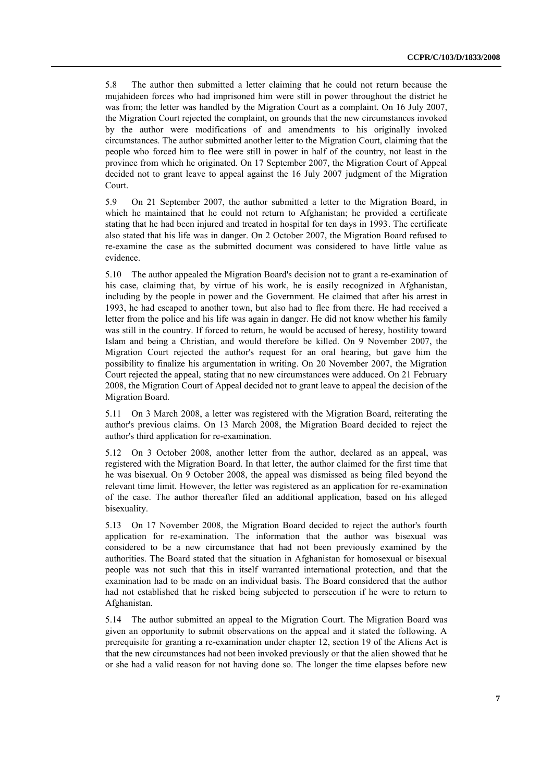5.8 The author then submitted a letter claiming that he could not return because the mujahideen forces who had imprisoned him were still in power throughout the district he was from; the letter was handled by the Migration Court as a complaint. On 16 July 2007, the Migration Court rejected the complaint, on grounds that the new circumstances invoked by the author were modifications of and amendments to his originally invoked circumstances. The author submitted another letter to the Migration Court, claiming that the people who forced him to flee were still in power in half of the country, not least in the province from which he originated. On 17 September 2007, the Migration Court of Appeal decided not to grant leave to appeal against the 16 July 2007 judgment of the Migration Court.

5.9 On 21 September 2007, the author submitted a letter to the Migration Board, in which he maintained that he could not return to Afghanistan; he provided a certificate stating that he had been injured and treated in hospital for ten days in 1993. The certificate also stated that his life was in danger. On 2 October 2007, the Migration Board refused to re-examine the case as the submitted document was considered to have little value as evidence.

5.10 The author appealed the Migration Board's decision not to grant a re-examination of his case, claiming that, by virtue of his work, he is easily recognized in Afghanistan, including by the people in power and the Government. He claimed that after his arrest in 1993, he had escaped to another town, but also had to flee from there. He had received a letter from the police and his life was again in danger. He did not know whether his family was still in the country. If forced to return, he would be accused of heresy, hostility toward Islam and being a Christian, and would therefore be killed. On 9 November 2007, the Migration Court rejected the author's request for an oral hearing, but gave him the possibility to finalize his argumentation in writing. On 20 November 2007, the Migration Court rejected the appeal, stating that no new circumstances were adduced. On 21 February 2008, the Migration Court of Appeal decided not to grant leave to appeal the decision of the Migration Board.

5.11 On 3 March 2008, a letter was registered with the Migration Board, reiterating the author's previous claims. On 13 March 2008, the Migration Board decided to reject the author's third application for re-examination.

5.12 On 3 October 2008, another letter from the author, declared as an appeal, was registered with the Migration Board. In that letter, the author claimed for the first time that he was bisexual. On 9 October 2008, the appeal was dismissed as being filed beyond the relevant time limit. However, the letter was registered as an application for re-examination of the case. The author thereafter filed an additional application, based on his alleged bisexuality.

5.13 On 17 November 2008, the Migration Board decided to reject the author's fourth application for re-examination. The information that the author was bisexual was considered to be a new circumstance that had not been previously examined by the authorities. The Board stated that the situation in Afghanistan for homosexual or bisexual people was not such that this in itself warranted international protection, and that the examination had to be made on an individual basis. The Board considered that the author had not established that he risked being subjected to persecution if he were to return to Afghanistan.

5.14 The author submitted an appeal to the Migration Court. The Migration Board was given an opportunity to submit observations on the appeal and it stated the following. A prerequisite for granting a re-examination under chapter 12, section 19 of the Aliens Act is that the new circumstances had not been invoked previously or that the alien showed that he or she had a valid reason for not having done so. The longer the time elapses before new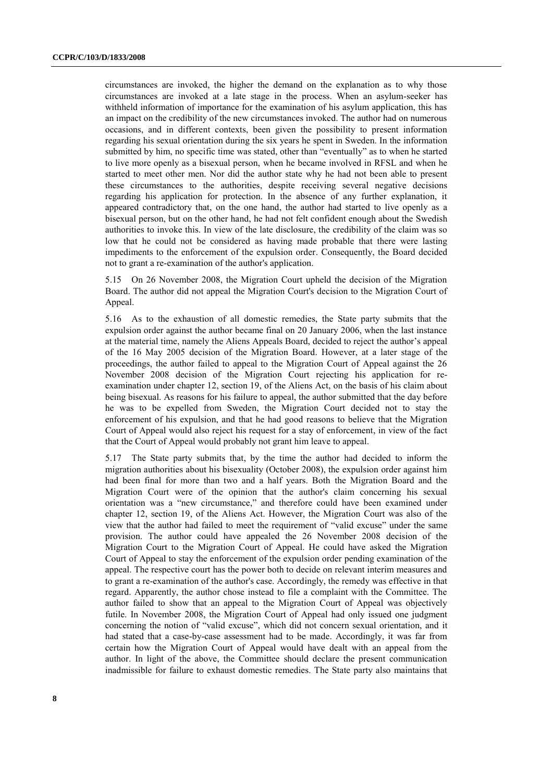circumstances are invoked, the higher the demand on the explanation as to why those circumstances are invoked at a late stage in the process. When an asylum-seeker has withheld information of importance for the examination of his asylum application, this has an impact on the credibility of the new circumstances invoked. The author had on numerous occasions, and in different contexts, been given the possibility to present information regarding his sexual orientation during the six years he spent in Sweden. In the information submitted by him, no specific time was stated, other than "eventually" as to when he started to live more openly as a bisexual person, when he became involved in RFSL and when he started to meet other men. Nor did the author state why he had not been able to present these circumstances to the authorities, despite receiving several negative decisions regarding his application for protection. In the absence of any further explanation, it appeared contradictory that, on the one hand, the author had started to live openly as a bisexual person, but on the other hand, he had not felt confident enough about the Swedish authorities to invoke this. In view of the late disclosure, the credibility of the claim was so low that he could not be considered as having made probable that there were lasting impediments to the enforcement of the expulsion order. Consequently, the Board decided not to grant a re-examination of the author's application.

5.15 On 26 November 2008, the Migration Court upheld the decision of the Migration Board. The author did not appeal the Migration Court's decision to the Migration Court of Appeal.

5.16 As to the exhaustion of all domestic remedies, the State party submits that the expulsion order against the author became final on 20 January 2006, when the last instance at the material time, namely the Aliens Appeals Board, decided to reject the author"s appeal of the 16 May 2005 decision of the Migration Board. However, at a later stage of the proceedings, the author failed to appeal to the Migration Court of Appeal against the 26 November 2008 decision of the Migration Court rejecting his application for reexamination under chapter 12, section 19, of the Aliens Act, on the basis of his claim about being bisexual. As reasons for his failure to appeal, the author submitted that the day before he was to be expelled from Sweden, the Migration Court decided not to stay the enforcement of his expulsion, and that he had good reasons to believe that the Migration Court of Appeal would also reject his request for a stay of enforcement, in view of the fact that the Court of Appeal would probably not grant him leave to appeal.

5.17 The State party submits that, by the time the author had decided to inform the migration authorities about his bisexuality (October 2008), the expulsion order against him had been final for more than two and a half years. Both the Migration Board and the Migration Court were of the opinion that the author's claim concerning his sexual orientation was a "new circumstance," and therefore could have been examined under chapter 12, section 19, of the Aliens Act. However, the Migration Court was also of the view that the author had failed to meet the requirement of "valid excuse" under the same provision. The author could have appealed the 26 November 2008 decision of the Migration Court to the Migration Court of Appeal. He could have asked the Migration Court of Appeal to stay the enforcement of the expulsion order pending examination of the appeal. The respective court has the power both to decide on relevant interim measures and to grant a re-examination of the author's case. Accordingly, the remedy was effective in that regard. Apparently, the author chose instead to file a complaint with the Committee. The author failed to show that an appeal to the Migration Court of Appeal was objectively futile. In November 2008, the Migration Court of Appeal had only issued one judgment concerning the notion of "valid excuse", which did not concern sexual orientation, and it had stated that a case-by-case assessment had to be made. Accordingly, it was far from certain how the Migration Court of Appeal would have dealt with an appeal from the author. In light of the above, the Committee should declare the present communication inadmissible for failure to exhaust domestic remedies. The State party also maintains that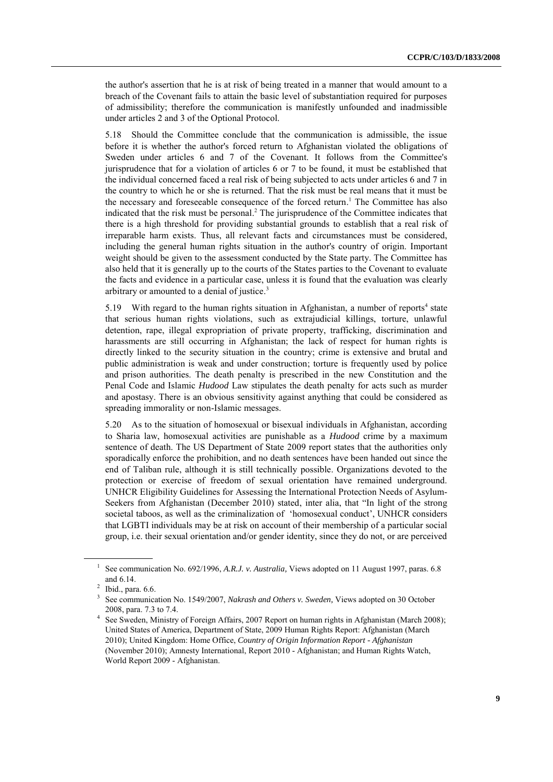the author's assertion that he is at risk of being treated in a manner that would amount to a breach of the Covenant fails to attain the basic level of substantiation required for purposes of admissibility; therefore the communication is manifestly unfounded and inadmissible under articles 2 and 3 of the Optional Protocol.

5.18 Should the Committee conclude that the communication is admissible, the issue before it is whether the author's forced return to Afghanistan violated the obligations of Sweden under articles 6 and 7 of the Covenant. It follows from the Committee's jurisprudence that for a violation of articles 6 or 7 to be found, it must be established that the individual concerned faced a real risk of being subjected to acts under articles 6 and 7 in the country to which he or she is returned. That the risk must be real means that it must be the necessary and foreseeable consequence of the forced return. <sup>1</sup> The Committee has also indicated that the risk must be personal. <sup>2</sup> The jurisprudence of the Committee indicates that there is a high threshold for providing substantial grounds to establish that a real risk of irreparable harm exists. Thus, all relevant facts and circumstances must be considered, including the general human rights situation in the author's country of origin. Important weight should be given to the assessment conducted by the State party. The Committee has also held that it is generally up to the courts of the States parties to the Covenant to evaluate the facts and evidence in a particular case, unless it is found that the evaluation was clearly arbitrary or amounted to a denial of justice.<sup>3</sup>

5.19 With regard to the human rights situation in Afghanistan, a number of reports<sup>4</sup> state that serious human rights violations, such as extrajudicial killings, torture, unlawful detention, rape, illegal expropriation of private property, trafficking, discrimination and harassments are still occurring in Afghanistan; the lack of respect for human rights is directly linked to the security situation in the country; crime is extensive and brutal and public administration is weak and under construction; torture is frequently used by police and prison authorities. The death penalty is prescribed in the new Constitution and the Penal Code and Islamic *Hudood* Law stipulates the death penalty for acts such as murder and apostasy. There is an obvious sensitivity against anything that could be considered as spreading immorality or non-Islamic messages.

5.20 As to the situation of homosexual or bisexual individuals in Afghanistan, according to Sharia law, homosexual activities are punishable as a *Hudood* crime by a maximum sentence of death. The US Department of State 2009 report states that the authorities only sporadically enforce the prohibition, and no death sentences have been handed out since the end of Taliban rule, although it is still technically possible. Organizations devoted to the protection or exercise of freedom of sexual orientation have remained underground. UNHCR Eligibility Guidelines for Assessing the International Protection Needs of Asylum-Seekers from Afghanistan (December 2010) stated, inter alia, that "In light of the strong societal taboos, as well as the criminalization of 'homosexual conduct', UNHCR considers that LGBTI individuals may be at risk on account of their membership of a particular social group, i.e. their sexual orientation and/or gender identity, since they do not, or are perceived

<sup>1</sup> See communication No. 692/1996, *A.R.J. v. Australia,* Views adopted on 11 August 1997, paras. 6.8 and 6.14.

 $<sup>2</sup>$  Ibid., para. 6.6.</sup>

<sup>3</sup> See communication No. 1549/2007, *Nakrash and Others v. Sweden,* Views adopted on 30 October 2008, para. 7.3 to 7.4.

<sup>&</sup>lt;sup>4</sup> See Sweden, Ministry of Foreign Affairs, 2007 Report on human rights in Afghanistan (March 2008); United States of America, Department of State, 2009 Human Rights Report: Afghanistan (March 2010); United Kingdom: Home Office, *Country of Origin Information Report - Afghanistan* (November 2010); Amnesty International, Report 2010 - Afghanistan; and Human Rights Watch, World Report 2009 - Afghanistan.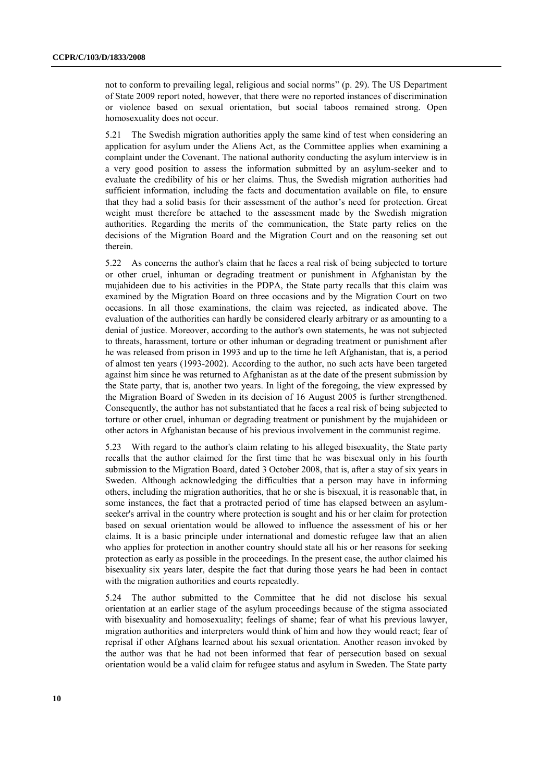not to conform to prevailing legal, religious and social norms" (p. 29). The US Department of State 2009 report noted, however, that there were no reported instances of discrimination or violence based on sexual orientation, but social taboos remained strong. Open homosexuality does not occur.

5.21 The Swedish migration authorities apply the same kind of test when considering an application for asylum under the Aliens Act, as the Committee applies when examining a complaint under the Covenant. The national authority conducting the asylum interview is in a very good position to assess the information submitted by an asylum-seeker and to evaluate the credibility of his or her claims. Thus, the Swedish migration authorities had sufficient information, including the facts and documentation available on file, to ensure that they had a solid basis for their assessment of the author"s need for protection. Great weight must therefore be attached to the assessment made by the Swedish migration authorities. Regarding the merits of the communication, the State party relies on the decisions of the Migration Board and the Migration Court and on the reasoning set out therein.

5.22 As concerns the author's claim that he faces a real risk of being subjected to torture or other cruel, inhuman or degrading treatment or punishment in Afghanistan by the mujahideen due to his activities in the PDPA, the State party recalls that this claim was examined by the Migration Board on three occasions and by the Migration Court on two occasions. In all those examinations, the claim was rejected, as indicated above. The evaluation of the authorities can hardly be considered clearly arbitrary or as amounting to a denial of justice. Moreover, according to the author's own statements, he was not subjected to threats, harassment, torture or other inhuman or degrading treatment or punishment after he was released from prison in 1993 and up to the time he left Afghanistan, that is, a period of almost ten years (1993-2002). According to the author, no such acts have been targeted against him since he was returned to Afghanistan as at the date of the present submission by the State party, that is, another two years. In light of the foregoing, the view expressed by the Migration Board of Sweden in its decision of 16 August 2005 is further strengthened. Consequently, the author has not substantiated that he faces a real risk of being subjected to torture or other cruel, inhuman or degrading treatment or punishment by the mujahideen or other actors in Afghanistan because of his previous involvement in the communist regime.

5.23 With regard to the author's claim relating to his alleged bisexuality, the State party recalls that the author claimed for the first time that he was bisexual only in his fourth submission to the Migration Board, dated 3 October 2008, that is, after a stay of six years in Sweden. Although acknowledging the difficulties that a person may have in informing others, including the migration authorities, that he or she is bisexual, it is reasonable that, in some instances, the fact that a protracted period of time has elapsed between an asylumseeker's arrival in the country where protection is sought and his or her claim for protection based on sexual orientation would be allowed to influence the assessment of his or her claims. It is a basic principle under international and domestic refugee law that an alien who applies for protection in another country should state all his or her reasons for seeking protection as early as possible in the proceedings. In the present case, the author claimed his bisexuality six years later, despite the fact that during those years he had been in contact with the migration authorities and courts repeatedly.

5.24 The author submitted to the Committee that he did not disclose his sexual orientation at an earlier stage of the asylum proceedings because of the stigma associated with bisexuality and homosexuality; feelings of shame; fear of what his previous lawyer, migration authorities and interpreters would think of him and how they would react; fear of reprisal if other Afghans learned about his sexual orientation. Another reason invoked by the author was that he had not been informed that fear of persecution based on sexual orientation would be a valid claim for refugee status and asylum in Sweden. The State party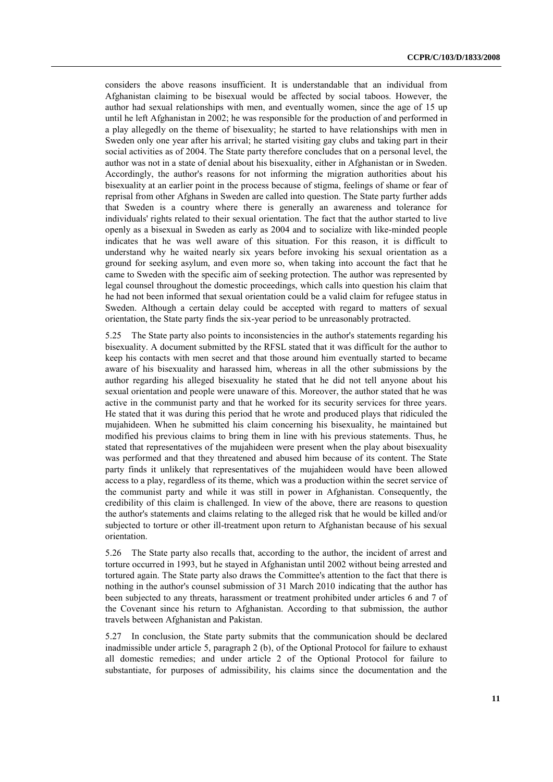considers the above reasons insufficient. It is understandable that an individual from Afghanistan claiming to be bisexual would be affected by social taboos. However, the author had sexual relationships with men, and eventually women, since the age of 15 up until he left Afghanistan in 2002; he was responsible for the production of and performed in a play allegedly on the theme of bisexuality; he started to have relationships with men in Sweden only one year after his arrival; he started visiting gay clubs and taking part in their social activities as of 2004. The State party therefore concludes that on a personal level, the author was not in a state of denial about his bisexuality, either in Afghanistan or in Sweden. Accordingly, the author's reasons for not informing the migration authorities about his bisexuality at an earlier point in the process because of stigma, feelings of shame or fear of reprisal from other Afghans in Sweden are called into question. The State party further adds that Sweden is a country where there is generally an awareness and tolerance for individuals' rights related to their sexual orientation. The fact that the author started to live openly as a bisexual in Sweden as early as 2004 and to socialize with like-minded people indicates that he was well aware of this situation. For this reason, it is difficult to understand why he waited nearly six years before invoking his sexual orientation as a ground for seeking asylum, and even more so, when taking into account the fact that he came to Sweden with the specific aim of seeking protection. The author was represented by legal counsel throughout the domestic proceedings, which calls into question his claim that he had not been informed that sexual orientation could be a valid claim for refugee status in Sweden. Although a certain delay could be accepted with regard to matters of sexual orientation, the State party finds the six-year period to be unreasonably protracted.

5.25 The State party also points to inconsistencies in the author's statements regarding his bisexuality. A document submitted by the RFSL stated that it was difficult for the author to keep his contacts with men secret and that those around him eventually started to became aware of his bisexuality and harassed him, whereas in all the other submissions by the author regarding his alleged bisexuality he stated that he did not tell anyone about his sexual orientation and people were unaware of this. Moreover, the author stated that he was active in the communist party and that he worked for its security services for three years. He stated that it was during this period that he wrote and produced plays that ridiculed the mujahideen. When he submitted his claim concerning his bisexuality, he maintained but modified his previous claims to bring them in line with his previous statements. Thus, he stated that representatives of the mujahideen were present when the play about bisexuality was performed and that they threatened and abused him because of its content. The State party finds it unlikely that representatives of the mujahideen would have been allowed access to a play, regardless of its theme, which was a production within the secret service of the communist party and while it was still in power in Afghanistan. Consequently, the credibility of this claim is challenged. In view of the above, there are reasons to question the author's statements and claims relating to the alleged risk that he would be killed and/or subjected to torture or other ill-treatment upon return to Afghanistan because of his sexual orientation.

5.26 The State party also recalls that, according to the author, the incident of arrest and torture occurred in 1993, but he stayed in Afghanistan until 2002 without being arrested and tortured again. The State party also draws the Committee's attention to the fact that there is nothing in the author's counsel submission of 31 March 2010 indicating that the author has been subjected to any threats, harassment or treatment prohibited under articles 6 and 7 of the Covenant since his return to Afghanistan. According to that submission, the author travels between Afghanistan and Pakistan.

5.27 In conclusion, the State party submits that the communication should be declared inadmissible under article 5, paragraph 2 (b), of the Optional Protocol for failure to exhaust all domestic remedies; and under article 2 of the Optional Protocol for failure to substantiate, for purposes of admissibility, his claims since the documentation and the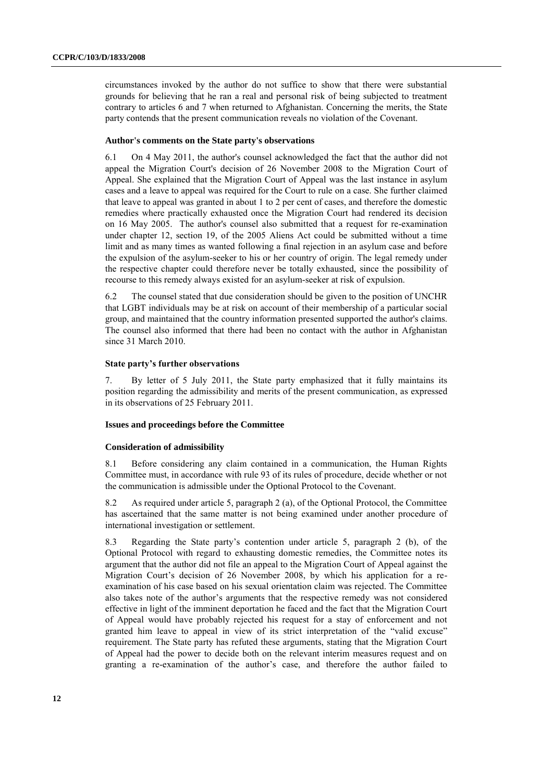circumstances invoked by the author do not suffice to show that there were substantial grounds for believing that he ran a real and personal risk of being subjected to treatment contrary to articles 6 and 7 when returned to Afghanistan. Concerning the merits, the State party contends that the present communication reveals no violation of the Covenant.

#### **Author's comments on the State party's observations**

6.1 On 4 May 2011, the author's counsel acknowledged the fact that the author did not appeal the Migration Court's decision of 26 November 2008 to the Migration Court of Appeal. She explained that the Migration Court of Appeal was the last instance in asylum cases and a leave to appeal was required for the Court to rule on a case. She further claimed that leave to appeal was granted in about 1 to 2 per cent of cases, and therefore the domestic remedies where practically exhausted once the Migration Court had rendered its decision on 16 May 2005. The author's counsel also submitted that a request for re-examination under chapter 12, section 19, of the 2005 Aliens Act could be submitted without a time limit and as many times as wanted following a final rejection in an asylum case and before the expulsion of the asylum-seeker to his or her country of origin. The legal remedy under the respective chapter could therefore never be totally exhausted, since the possibility of recourse to this remedy always existed for an asylum-seeker at risk of expulsion.

6.2 The counsel stated that due consideration should be given to the position of UNCHR that LGBT individuals may be at risk on account of their membership of a particular social group, and maintained that the country information presented supported the author's claims. The counsel also informed that there had been no contact with the author in Afghanistan since 31 March 2010.

#### **State party's further observations**

7. By letter of 5 July 2011, the State party emphasized that it fully maintains its position regarding the admissibility and merits of the present communication, as expressed in its observations of 25 February 2011.

#### **Issues and proceedings before the Committee**

#### **Consideration of admissibility**

8.1 Before considering any claim contained in a communication, the Human Rights Committee must, in accordance with rule 93 of its rules of procedure, decide whether or not the communication is admissible under the Optional Protocol to the Covenant.

8.2 As required under article 5, paragraph 2 (a), of the Optional Protocol, the Committee has ascertained that the same matter is not being examined under another procedure of international investigation or settlement.

8.3 Regarding the State party"s contention under article 5, paragraph 2 (b), of the Optional Protocol with regard to exhausting domestic remedies, the Committee notes its argument that the author did not file an appeal to the Migration Court of Appeal against the Migration Court"s decision of 26 November 2008, by which his application for a reexamination of his case based on his sexual orientation claim was rejected. The Committee also takes note of the author"s arguments that the respective remedy was not considered effective in light of the imminent deportation he faced and the fact that the Migration Court of Appeal would have probably rejected his request for a stay of enforcement and not granted him leave to appeal in view of its strict interpretation of the "valid excuse" requirement. The State party has refuted these arguments, stating that the Migration Court of Appeal had the power to decide both on the relevant interim measures request and on granting a re-examination of the author"s case, and therefore the author failed to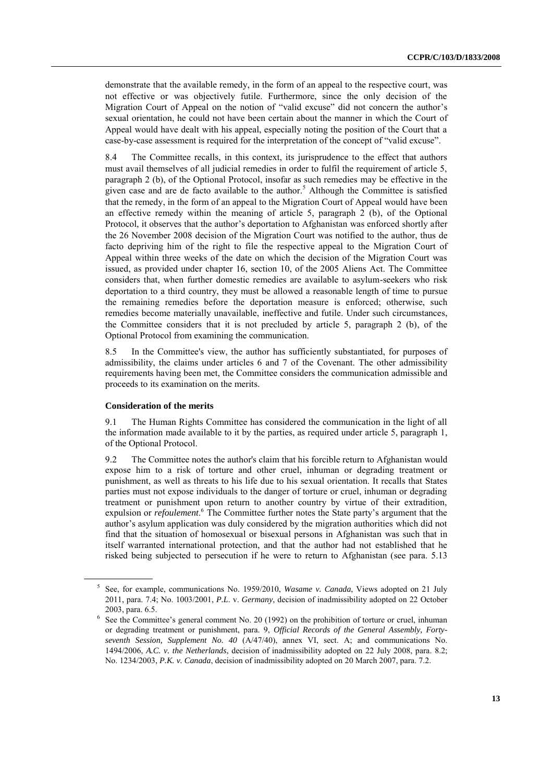demonstrate that the available remedy, in the form of an appeal to the respective court, was not effective or was objectively futile. Furthermore, since the only decision of the Migration Court of Appeal on the notion of "valid excuse" did not concern the author"s sexual orientation, he could not have been certain about the manner in which the Court of Appeal would have dealt with his appeal, especially noting the position of the Court that a case-by-case assessment is required for the interpretation of the concept of "valid excuse".

8.4 The Committee recalls, in this context, its jurisprudence to the effect that authors must avail themselves of all judicial remedies in order to fulfil the requirement of article 5, paragraph 2 (b), of the Optional Protocol, insofar as such remedies may be effective in the given case and are de facto available to the author.<sup>5</sup> Although the Committee is satisfied that the remedy, in the form of an appeal to the Migration Court of Appeal would have been an effective remedy within the meaning of article 5, paragraph 2 (b), of the Optional Protocol, it observes that the author"s deportation to Afghanistan was enforced shortly after the 26 November 2008 decision of the Migration Court was notified to the author, thus de facto depriving him of the right to file the respective appeal to the Migration Court of Appeal within three weeks of the date on which the decision of the Migration Court was issued, as provided under chapter 16, section 10, of the 2005 Aliens Act. The Committee considers that, when further domestic remedies are available to asylum-seekers who risk deportation to a third country, they must be allowed a reasonable length of time to pursue the remaining remedies before the deportation measure is enforced; otherwise, such remedies become materially unavailable, ineffective and futile. Under such circumstances, the Committee considers that it is not precluded by article 5, paragraph 2 (b), of the Optional Protocol from examining the communication.

8.5 In the Committee's view, the author has sufficiently substantiated, for purposes of admissibility, the claims under articles 6 and 7 of the Covenant. The other admissibility requirements having been met, the Committee considers the communication admissible and proceeds to its examination on the merits.

#### **Consideration of the merits**

9.1 The Human Rights Committee has considered the communication in the light of all the information made available to it by the parties, as required under article 5, paragraph 1, of the Optional Protocol.

9.2 The Committee notes the author's claim that his forcible return to Afghanistan would expose him to a risk of torture and other cruel, inhuman or degrading treatment or punishment, as well as threats to his life due to his sexual orientation. It recalls that States parties must not expose individuals to the danger of torture or cruel, inhuman or degrading treatment or punishment upon return to another country by virtue of their extradition, expulsion or *refoulement*.<sup>6</sup> The Committee further notes the State party's argument that the author"s asylum application was duly considered by the migration authorities which did not find that the situation of homosexual or bisexual persons in Afghanistan was such that in itself warranted international protection, and that the author had not established that he risked being subjected to persecution if he were to return to Afghanistan (see para. 5.13

<sup>5</sup> See, for example, communications No. 1959/2010, *Wasame v. Canada*, Views adopted on 21 July 2011, para. 7.4; No. 1003/2001, *P.L*. v. *Germany*, decision of inadmissibility adopted on 22 October 2003, para. 6.5.

<sup>&</sup>lt;sup>6</sup> See the Committee's general comment No. 20 (1992) on the prohibition of torture or cruel, inhuman or degrading treatment or punishment, para. 9, *Official Records of the General Assembly, Fortyseventh Session, Supplement No. 40* (A/47/40), annex VI, sect. A; and communications No. 1494/2006, *A.C. v. the Netherlands*, decision of inadmissibility adopted on 22 July 2008, para. 8.2; No. 1234/2003, *P.K. v. Canada*, decision of inadmissibility adopted on 20 March 2007, para. 7.2.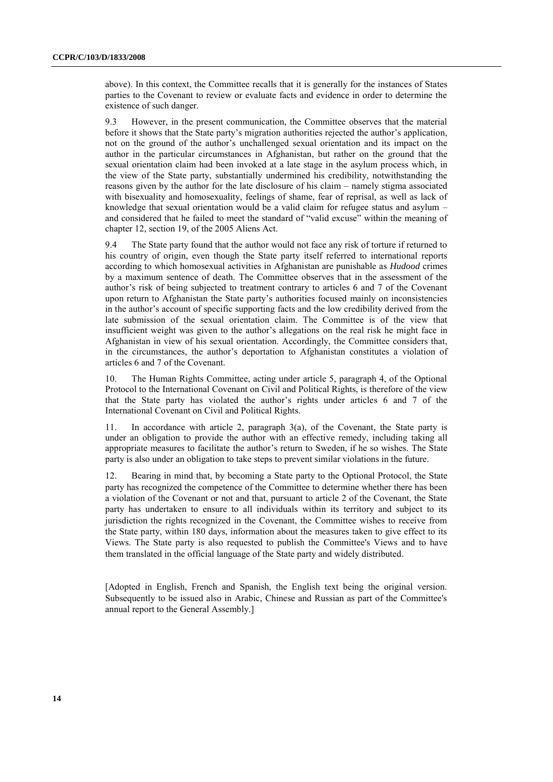above). In this context, the Committee recalls that it is generally for the instances of States parties to the Covenant to review or evaluate facts and evidence in order to determine the existence of such danger.

9.3 However, in the present communication, the Committee observes that the material before it shows that the State party"s migration authorities rejected the author"s application, not on the ground of the author"s unchallenged sexual orientation and its impact on the author in the particular circumstances in Afghanistan, but rather on the ground that the sexual orientation claim had been invoked at a late stage in the asylum process which, in the view of the State party, substantially undermined his credibility, notwithstanding the reasons given by the author for the late disclosure of his claim – namely stigma associated with bisexuality and homosexuality, feelings of shame, fear of reprisal, as well as lack of knowledge that sexual orientation would be a valid claim for refugee status and asylum – and considered that he failed to meet the standard of "valid excuse" within the meaning of chapter 12, section 19, of the 2005 Aliens Act.

9.4 The State party found that the author would not face any risk of torture if returned to his country of origin, even though the State party itself referred to international reports according to which homosexual activities in Afghanistan are punishable as *Hudood* crimes by a maximum sentence of death. The Committee observes that in the assessment of the author"s risk of being subjected to treatment contrary to articles 6 and 7 of the Covenant upon return to Afghanistan the State party"s authorities focused mainly on inconsistencies in the author"s account of specific supporting facts and the low credibility derived from the late submission of the sexual orientation claim. The Committee is of the view that insufficient weight was given to the author"s allegations on the real risk he might face in Afghanistan in view of his sexual orientation. Accordingly, the Committee considers that, in the circumstances, the author"s deportation to Afghanistan constitutes a violation of articles 6 and 7 of the Covenant.

10. The Human Rights Committee, acting under article 5, paragraph 4, of the Optional Protocol to the International Covenant on Civil and Political Rights, is therefore of the view that the State party has violated the author"s rights under articles 6 and 7 of the International Covenant on Civil and Political Rights.

11. In accordance with article 2, paragraph 3(a), of the Covenant, the State party is under an obligation to provide the author with an effective remedy, including taking all appropriate measures to facilitate the author"s return to Sweden, if he so wishes. The State party is also under an obligation to take steps to prevent similar violations in the future.

12. Bearing in mind that, by becoming a State party to the Optional Protocol, the State party has recognized the competence of the Committee to determine whether there has been a violation of the Covenant or not and that, pursuant to article 2 of the Covenant, the State party has undertaken to ensure to all individuals within its territory and subject to its jurisdiction the rights recognized in the Covenant, the Committee wishes to receive from the State party, within 180 days, information about the measures taken to give effect to its Views. The State party is also requested to publish the Committee's Views and to have them translated in the official language of the State party and widely distributed.

[Adopted in English, French and Spanish, the English text being the original version. Subsequently to be issued also in Arabic, Chinese and Russian as part of the Committee's annual report to the General Assembly.]